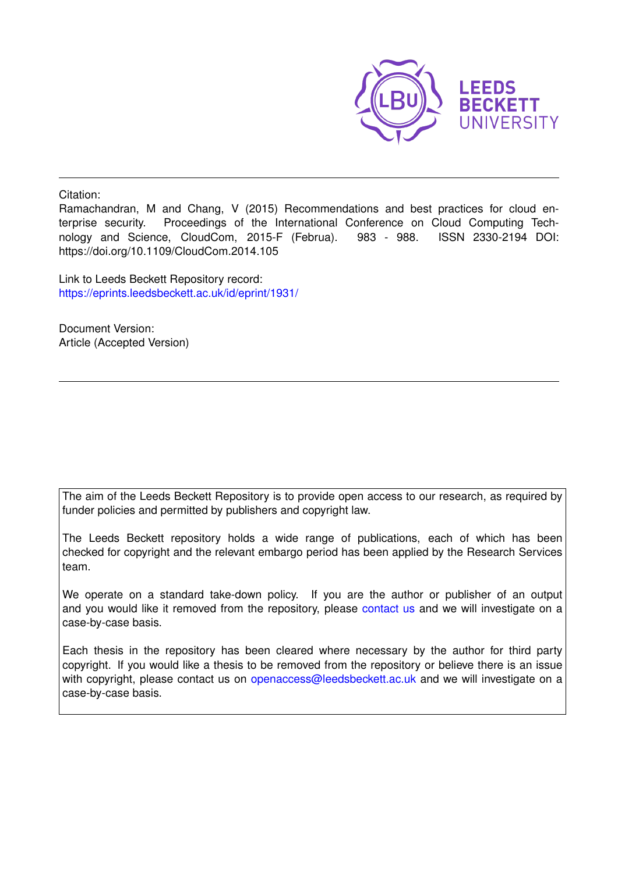

Citation:

Ramachandran, M and Chang, V (2015) Recommendations and best practices for cloud enterprise security. Proceedings of the International Conference on Cloud Computing Technology and Science, CloudCom, 2015-F (Februa). 983 - 988. ISSN 2330-2194 DOI: https://doi.org/10.1109/CloudCom.2014.105

Link to Leeds Beckett Repository record: <https://eprints.leedsbeckett.ac.uk/id/eprint/1931/>

Document Version: Article (Accepted Version)

The aim of the Leeds Beckett Repository is to provide open access to our research, as required by funder policies and permitted by publishers and copyright law.

The Leeds Beckett repository holds a wide range of publications, each of which has been checked for copyright and the relevant embargo period has been applied by the Research Services team.

We operate on a standard take-down policy. If you are the author or publisher of an output and you would like it removed from the repository, please [contact us](mailto:openaccess@leedsbeckett.ac.uk) and we will investigate on a case-by-case basis.

Each thesis in the repository has been cleared where necessary by the author for third party copyright. If you would like a thesis to be removed from the repository or believe there is an issue with copyright, please contact us on [openaccess@leedsbeckett.ac.uk](mailto:openaccess@leedsbeckett.ac.uk) and we will investigate on a case-by-case basis.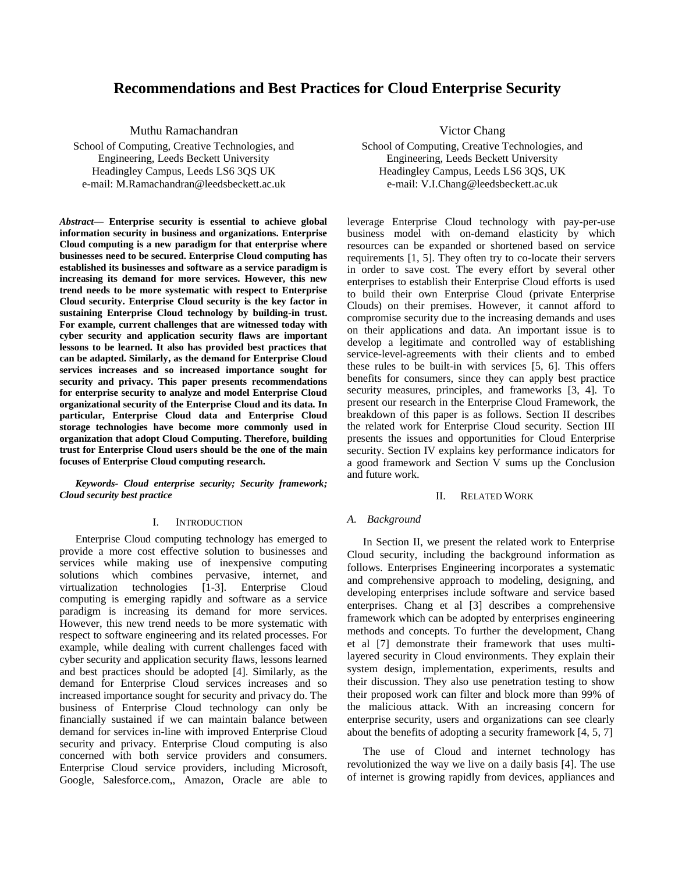# **Recommendations and Best Practices for Cloud Enterprise Security**

Muthu Ramachandran

School of Computing, Creative Technologies, and Engineering, Leeds Beckett University Headingley Campus, Leeds LS6 3QS UK e-mail: M.Ramachandran@leedsbeckett.ac.uk

*Abstract***— Enterprise security is essential to achieve global information security in business and organizations. Enterprise Cloud computing is a new paradigm for that enterprise where businesses need to be secured. Enterprise Cloud computing has established its businesses and software as a service paradigm is increasing its demand for more services. However, this new trend needs to be more systematic with respect to Enterprise Cloud security. Enterprise Cloud security is the key factor in sustaining Enterprise Cloud technology by building-in trust. For example, current challenges that are witnessed today with cyber security and application security flaws are important lessons to be learned. It also has provided best practices that can be adapted. Similarly, as the demand for Enterprise Cloud services increases and so increased importance sought for security and privacy. This paper presents recommendations for enterprise security to analyze and model Enterprise Cloud organizational security of the Enterprise Cloud and its data. In particular, Enterprise Cloud data and Enterprise Cloud storage technologies have become more commonly used in organization that adopt Cloud Computing. Therefore, building trust for Enterprise Cloud users should be the one of the main focuses of Enterprise Cloud computing research.**

*Keywords- Cloud enterprise security; Security framework; Cloud security best practice*

## I. INTRODUCTION

Enterprise Cloud computing technology has emerged to provide a more cost effective solution to businesses and services while making use of inexpensive computing solutions which combines pervasive, internet, and virtualization technologies [1-3]. Enterprise Cloud computing is emerging rapidly and software as a service paradigm is increasing its demand for more services. However, this new trend needs to be more systematic with respect to software engineering and its related processes. For example, while dealing with current challenges faced with cyber security and application security flaws, lessons learned and best practices should be adopted [4]. Similarly, as the demand for Enterprise Cloud services increases and so increased importance sought for security and privacy do. The business of Enterprise Cloud technology can only be financially sustained if we can maintain balance between demand for services in-line with improved Enterprise Cloud security and privacy. Enterprise Cloud computing is also concerned with both service providers and consumers. Enterprise Cloud service providers, including Microsoft, Google, Salesforce.com,, Amazon, Oracle are able to

Victor Chang School of Computing, Creative Technologies, and Engineering, Leeds Beckett University Headingley Campus, Leeds LS6 3QS, UK e-mail: V.I.Chang@leedsbeckett.ac.uk

leverage Enterprise Cloud technology with pay-per-use business model with on-demand elasticity by which resources can be expanded or shortened based on service requirements [1, 5]. They often try to co-locate their servers in order to save cost. The every effort by several other enterprises to establish their Enterprise Cloud efforts is used to build their own Enterprise Cloud (private Enterprise Clouds) on their premises. However, it cannot afford to compromise security due to the increasing demands and uses on their applications and data. An important issue is to develop a legitimate and controlled way of establishing service-level-agreements with their clients and to embed these rules to be built-in with services [5, 6]. This offers benefits for consumers, since they can apply best practice security measures, principles, and frameworks [3, 4]. To present our research in the Enterprise Cloud Framework, the breakdown of this paper is as follows. Section II describes the related work for Enterprise Cloud security. Section III presents the issues and opportunities for Cloud Enterprise security. Section IV explains key performance indicators for a good framework and Section V sums up the Conclusion and future work.

### II. RELATED WORK

## *A. Background*

In Section II, we present the related work to Enterprise Cloud security, including the background information as follows. Enterprises Engineering incorporates a systematic and comprehensive approach to modeling, designing, and developing enterprises include software and service based enterprises. Chang et al [3] describes a comprehensive framework which can be adopted by enterprises engineering methods and concepts. To further the development, Chang et al [7] demonstrate their framework that uses multilayered security in Cloud environments. They explain their system design, implementation, experiments, results and their discussion. They also use penetration testing to show their proposed work can filter and block more than 99% of the malicious attack. With an increasing concern for enterprise security, users and organizations can see clearly about the benefits of adopting a security framework [4, 5, 7]

The use of Cloud and internet technology has revolutionized the way we live on a daily basis [4]. The use of internet is growing rapidly from devices, appliances and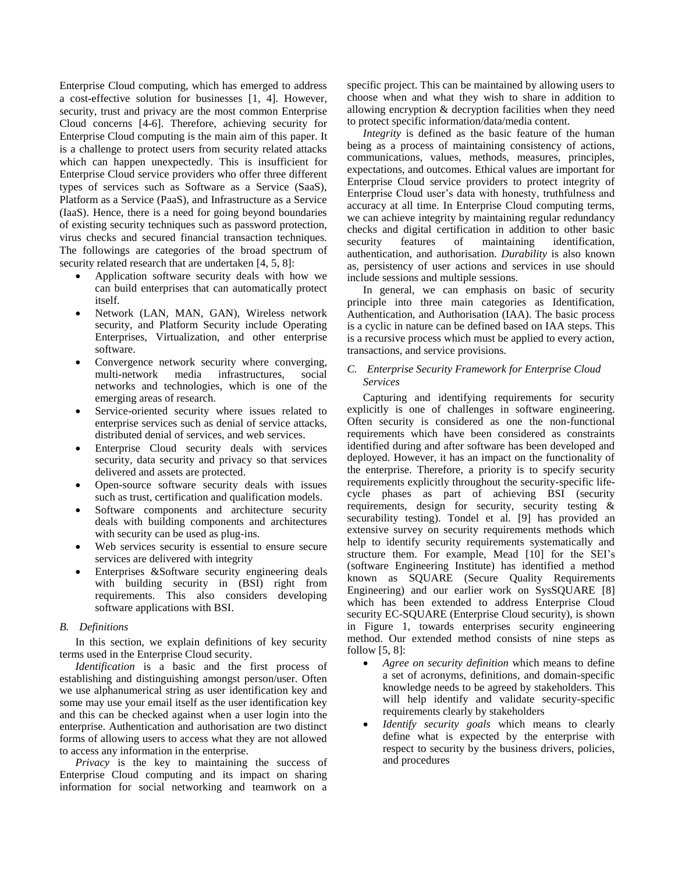Enterprise Cloud computing, which has emerged to address a cost-effective solution for businesses [1, 4]. However, security, trust and privacy are the most common Enterprise Cloud concerns [4-6]. Therefore, achieving security for Enterprise Cloud computing is the main aim of this paper. It is a challenge to protect users from security related attacks which can happen unexpectedly. This is insufficient for Enterprise Cloud service providers who offer three different types of services such as Software as a Service (SaaS), Platform as a Service (PaaS), and Infrastructure as a Service (IaaS). Hence, there is a need for going beyond boundaries of existing security techniques such as password protection, virus checks and secured financial transaction techniques. The followings are categories of the broad spectrum of security related research that are undertaken [4, 5, 8]:

- Application software security deals with how we can build enterprises that can automatically protect itself.
- Network (LAN, MAN, GAN), Wireless network security, and Platform Security include Operating Enterprises, Virtualization, and other enterprise software.
- Convergence network security where converging, multi-network media infrastructures, social networks and technologies, which is one of the emerging areas of research.
- Service-oriented security where issues related to enterprise services such as denial of service attacks, distributed denial of services, and web services.
- Enterprise Cloud security deals with services security, data security and privacy so that services delivered and assets are protected.
- Open-source software security deals with issues such as trust, certification and qualification models.
- Software components and architecture security deals with building components and architectures with security can be used as plug-ins.
- Web services security is essential to ensure secure services are delivered with integrity
- Enterprises &Software security engineering deals with building security in (BSI) right from requirements. This also considers developing software applications with BSI.

### *B. Definitions*

In this section, we explain definitions of key security terms used in the Enterprise Cloud security.

*Identification* is a basic and the first process of establishing and distinguishing amongst person/user. Often we use alphanumerical string as user identification key and some may use your email itself as the user identification key and this can be checked against when a user login into the enterprise. Authentication and authorisation are two distinct forms of allowing users to access what they are not allowed to access any information in the enterprise.

*Privacy* is the key to maintaining the success of Enterprise Cloud computing and its impact on sharing information for social networking and teamwork on a

specific project. This can be maintained by allowing users to choose when and what they wish to share in addition to allowing encryption & decryption facilities when they need to protect specific information/data/media content.

*Integrity* is defined as the basic feature of the human being as a process of maintaining consistency of actions, communications, values, methods, measures, principles, expectations, and outcomes. Ethical values are important for Enterprise Cloud service providers to protect integrity of Enterprise Cloud user's data with honesty, truthfulness and accuracy at all time. In Enterprise Cloud computing terms, we can achieve integrity by maintaining regular redundancy checks and digital certification in addition to other basic security features of maintaining identification, authentication, and authorisation. *Durability* is also known as, persistency of user actions and services in use should include sessions and multiple sessions.

In general, we can emphasis on basic of security principle into three main categories as Identification, Authentication, and Authorisation (IAA). The basic process is a cyclic in nature can be defined based on IAA steps. This is a recursive process which must be applied to every action, transactions, and service provisions.

## *C. Enterprise Security Framework for Enterprise Cloud Services*

Capturing and identifying requirements for security explicitly is one of challenges in software engineering. Often security is considered as one the non-functional requirements which have been considered as constraints identified during and after software has been developed and deployed. However, it has an impact on the functionality of the enterprise. Therefore, a priority is to specify security requirements explicitly throughout the security-specific lifecycle phases as part of achieving BSI (security requirements, design for security, security testing & securability testing). Tondel et al. [9] has provided an extensive survey on security requirements methods which help to identify security requirements systematically and structure them. For example, Mead [10] for the SEI's (software Engineering Institute) has identified a method known as SQUARE (Secure Quality Requirements Engineering) and our earlier work on SysSQUARE [8] which has been extended to address Enterprise Cloud security EC-SQUARE (Enterprise Cloud security), is shown in Figure 1, towards enterprises security engineering method. Our extended method consists of nine steps as follow  $[5, 8]$ :

- *Agree on security definition* which means to define a set of acronyms, definitions, and domain-specific knowledge needs to be agreed by stakeholders. This will help identify and validate security-specific requirements clearly by stakeholders
- *Identify security goals* which means to clearly define what is expected by the enterprise with respect to security by the business drivers, policies, and procedures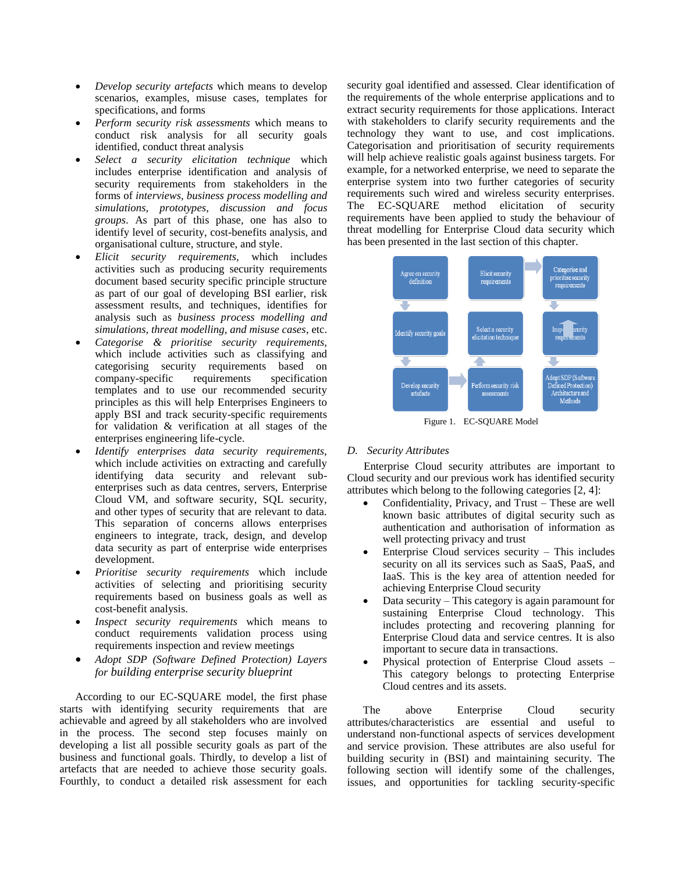- *Develop security artefacts* which means to develop scenarios, examples, misuse cases, templates for specifications, and forms
- *Perform security risk assessments* which means to conduct risk analysis for all security goals identified, conduct threat analysis
- *Select a security elicitation technique* which includes enterprise identification and analysis of security requirements from stakeholders in the forms of *interviews, business process modelling and simulations, prototypes*, *discussion and focus groups*. As part of this phase, one has also to identify level of security, cost-benefits analysis, and organisational culture, structure, and style.
- *Elicit security requirements,* which includes activities such as producing security requirements document based security specific principle structure as part of our goal of developing BSI earlier, risk assessment results, and techniques, identifies for analysis such as *business process modelling and simulations, threat modelling, and misuse cases*, etc.
- *Categorise & prioritise security requirements,* which include activities such as classifying and categorising security requirements based on company-specific requirements specification templates and to use our recommended security principles as this will help Enterprises Engineers to apply BSI and track security-specific requirements for validation & verification at all stages of the enterprises engineering life-cycle.
- *Identify enterprises data security requirements,* which include activities on extracting and carefully identifying data security and relevant subenterprises such as data centres, servers, Enterprise Cloud VM, and software security, SQL security, and other types of security that are relevant to data. This separation of concerns allows enterprises engineers to integrate, track, design, and develop data security as part of enterprise wide enterprises development.
- *Prioritise security requirements* which include activities of selecting and prioritising security requirements based on business goals as well as cost-benefit analysis.
- *Inspect security requirements* which means to conduct requirements validation process using requirements inspection and review meetings
- *Adopt SDP (Software Defined Protection) Layers for building enterprise security blueprint*

According to our EC-SQUARE model, the first phase starts with identifying security requirements that are achievable and agreed by all stakeholders who are involved in the process. The second step focuses mainly on developing a list all possible security goals as part of the business and functional goals. Thirdly, to develop a list of artefacts that are needed to achieve those security goals. Fourthly, to conduct a detailed risk assessment for each security goal identified and assessed. Clear identification of the requirements of the whole enterprise applications and to extract security requirements for those applications. Interact with stakeholders to clarify security requirements and the technology they want to use, and cost implications. Categorisation and prioritisation of security requirements will help achieve realistic goals against business targets. For example, for a networked enterprise, we need to separate the enterprise system into two further categories of security requirements such wired and wireless security enterprises. The EC-SQUARE method elicitation of security requirements have been applied to study the behaviour of threat modelling for Enterprise Cloud data security which has been presented in the last section of this chapter.



Figure 1. EC-SQUARE Model

## *D. Security Attributes*

Enterprise Cloud security attributes are important to Cloud security and our previous work has identified security attributes which belong to the following categories [2, 4]:

- Confidentiality, Privacy, and Trust These are well known basic attributes of digital security such as authentication and authorisation of information as well protecting privacy and trust
- Enterprise Cloud services security This includes security on all its services such as SaaS, PaaS, and IaaS. This is the key area of attention needed for achieving Enterprise Cloud security
- Data security This category is again paramount for sustaining Enterprise Cloud technology. This includes protecting and recovering planning for Enterprise Cloud data and service centres. It is also important to secure data in transactions.
- Physical protection of Enterprise Cloud assets This category belongs to protecting Enterprise Cloud centres and its assets.

The above Enterprise Cloud security attributes/characteristics are essential and useful to understand non-functional aspects of services development and service provision. These attributes are also useful for building security in (BSI) and maintaining security. The following section will identify some of the challenges, issues, and opportunities for tackling security-specific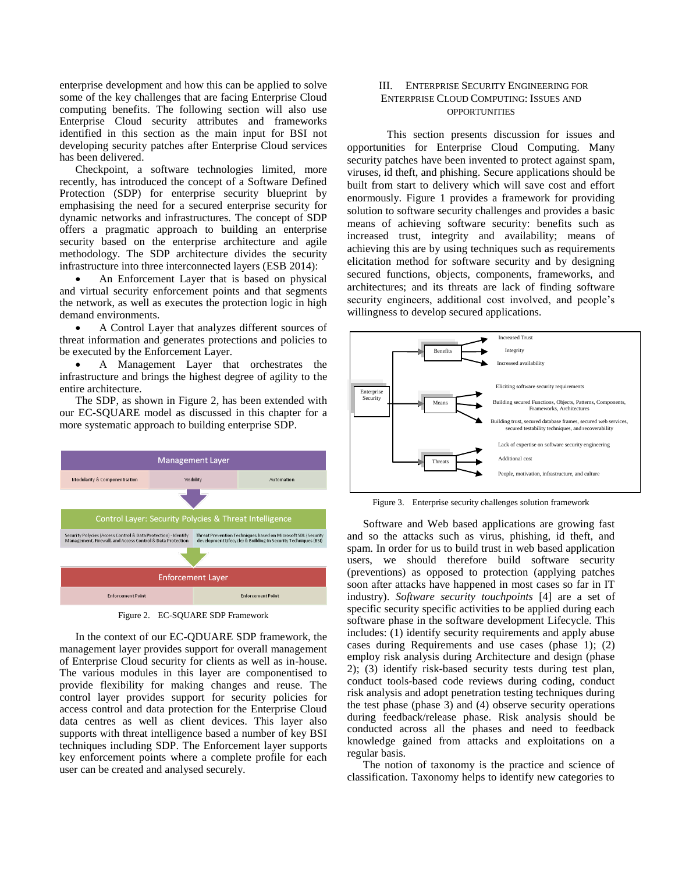enterprise development and how this can be applied to solve some of the key challenges that are facing Enterprise Cloud computing benefits. The following section will also use Enterprise Cloud security attributes and frameworks identified in this section as the main input for BSI not developing security patches after Enterprise Cloud services has been delivered.

Checkpoint, a software technologies limited, more recently, has introduced the concept of a Software Defined Protection (SDP) for enterprise security blueprint by emphasising the need for a secured enterprise security for dynamic networks and infrastructures. The concept of SDP offers a pragmatic approach to building an enterprise security based on the enterprise architecture and agile methodology. The SDP architecture divides the security infrastructure into three interconnected layers (ESB 2014):

 An Enforcement Layer that is based on physical and virtual security enforcement points and that segments the network, as well as executes the protection logic in high demand environments.

 A Control Layer that analyzes different sources of threat information and generates protections and policies to be executed by the Enforcement Layer.

 A Management Layer that orchestrates the infrastructure and brings the highest degree of agility to the entire architecture.

The SDP, as shown in Figure 2, has been extended with our EC-SQUARE model as discussed in this chapter for a more systematic approach to building enterprise SDP.



Figure 2. EC-SQUARE SDP Framework

In the context of our EC-QDUARE SDP framework, the management layer provides support for overall management of Enterprise Cloud security for clients as well as in-house. The various modules in this layer are componentised to provide flexibility for making changes and reuse. The control layer provides support for security policies for access control and data protection for the Enterprise Cloud data centres as well as client devices. This layer also supports with threat intelligence based a number of key BSI techniques including SDP. The Enforcement layer supports key enforcement points where a complete profile for each user can be created and analysed securely.

## III. ENTERPRISE SECURITY ENGINEERING FOR ENTERPRISE CLOUD COMPUTING: ISSUES AND **OPPORTUNITIES**

This section presents discussion for issues and opportunities for Enterprise Cloud Computing. Many security patches have been invented to protect against spam, viruses, id theft, and phishing. Secure applications should be built from start to delivery which will save cost and effort enormously. Figure 1 provides a framework for providing solution to software security challenges and provides a basic means of achieving software security: benefits such as increased trust, integrity and availability; means of achieving this are by using techniques such as requirements elicitation method for software security and by designing secured functions, objects, components, frameworks, and architectures; and its threats are lack of finding software security engineers, additional cost involved, and people's willingness to develop secured applications.



Figure 3. Enterprise security challenges solution framework

Software and Web based applications are growing fast and so the attacks such as virus, phishing, id theft, and spam. In order for us to build trust in web based application users, we should therefore build software security (preventions) as opposed to protection (applying patches soon after attacks have happened in most cases so far in IT industry). *Software security touchpoints* [4] are a set of specific security specific activities to be applied during each software phase in the software development Lifecycle. This includes: (1) identify security requirements and apply abuse cases during Requirements and use cases (phase 1); (2) employ risk analysis during Architecture and design (phase 2); (3) identify risk-based security tests during test plan, conduct tools-based code reviews during coding, conduct risk analysis and adopt penetration testing techniques during the test phase (phase 3) and (4) observe security operations during feedback/release phase. Risk analysis should be conducted across all the phases and need to feedback knowledge gained from attacks and exploitations on a regular basis.

The notion of taxonomy is the practice and science of classification. Taxonomy helps to identify new categories to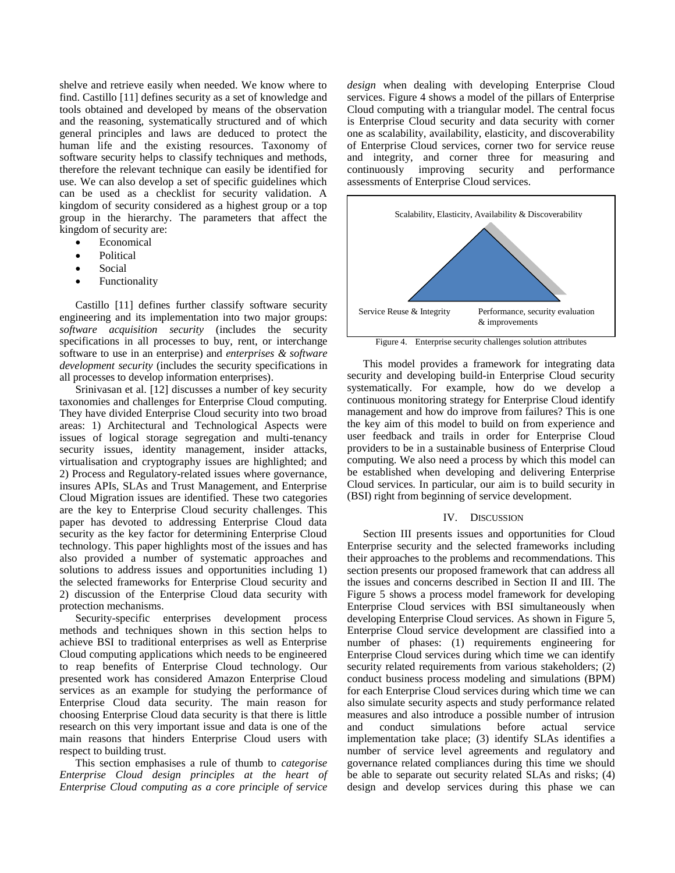shelve and retrieve easily when needed. We know where to find. Castillo [11] defines security as a set of knowledge and tools obtained and developed by means of the observation and the reasoning, systematically structured and of which general principles and laws are deduced to protect the human life and the existing resources. Taxonomy of software security helps to classify techniques and methods, therefore the relevant technique can easily be identified for use. We can also develop a set of specific guidelines which can be used as a checklist for security validation. A kingdom of security considered as a highest group or a top group in the hierarchy. The parameters that affect the kingdom of security are:

- Economical
- Political
- Social
- Functionality

Castillo [11] defines further classify software security engineering and its implementation into two major groups: *software acquisition security* (includes the security specifications in all processes to buy, rent, or interchange software to use in an enterprise) and *enterprises & software development security* (includes the security specifications in all processes to develop information enterprises).

Srinivasan et al. [12] discusses a number of key security taxonomies and challenges for Enterprise Cloud computing. They have divided Enterprise Cloud security into two broad areas: 1) Architectural and Technological Aspects were issues of logical storage segregation and multi-tenancy security issues, identity management, insider attacks, virtualisation and cryptography issues are highlighted; and 2) Process and Regulatory-related issues where governance, insures APIs, SLAs and Trust Management, and Enterprise Cloud Migration issues are identified. These two categories are the key to Enterprise Cloud security challenges. This paper has devoted to addressing Enterprise Cloud data security as the key factor for determining Enterprise Cloud technology. This paper highlights most of the issues and has also provided a number of systematic approaches and solutions to address issues and opportunities including 1) the selected frameworks for Enterprise Cloud security and 2) discussion of the Enterprise Cloud data security with protection mechanisms.

Security-specific enterprises development process methods and techniques shown in this section helps to achieve BSI to traditional enterprises as well as Enterprise Cloud computing applications which needs to be engineered to reap benefits of Enterprise Cloud technology. Our presented work has considered Amazon Enterprise Cloud services as an example for studying the performance of Enterprise Cloud data security. The main reason for choosing Enterprise Cloud data security is that there is little research on this very important issue and data is one of the main reasons that hinders Enterprise Cloud users with respect to building trust.

This section emphasises a rule of thumb to *categorise Enterprise Cloud design principles at the heart of Enterprise Cloud computing as a core principle of service* 

*design* when dealing with developing Enterprise Cloud services. Figure 4 shows a model of the pillars of Enterprise Cloud computing with a triangular model. The central focus is Enterprise Cloud security and data security with corner one as scalability, availability, elasticity, and discoverability of Enterprise Cloud services, corner two for service reuse and integrity, and corner three for measuring and continuously improving security and performance continuously improving security and performance assessments of Enterprise Cloud services.



This model provides a framework for integrating data security and developing build-in Enterprise Cloud security systematically. For example, how do we develop a continuous monitoring strategy for Enterprise Cloud identify management and how do improve from failures? This is one the key aim of this model to build on from experience and user feedback and trails in order for Enterprise Cloud providers to be in a sustainable business of Enterprise Cloud computing. We also need a process by which this model can be established when developing and delivering Enterprise Cloud services. In particular, our aim is to build security in (BSI) right from beginning of service development.

#### IV. DISCUSSION

Section III presents issues and opportunities for Cloud Enterprise security and the selected frameworks including their approaches to the problems and recommendations. This section presents our proposed framework that can address all the issues and concerns described in Section II and III. The Figure 5 shows a process model framework for developing Enterprise Cloud services with BSI simultaneously when developing Enterprise Cloud services. As shown in Figure 5, Enterprise Cloud service development are classified into a number of phases: (1) requirements engineering for Enterprise Cloud services during which time we can identify security related requirements from various stakeholders; (2) conduct business process modeling and simulations (BPM) for each Enterprise Cloud services during which time we can also simulate security aspects and study performance related measures and also introduce a possible number of intrusion and conduct simulations before actual service implementation take place; (3) identify SLAs identifies a number of service level agreements and regulatory and governance related compliances during this time we should be able to separate out security related SLAs and risks; (4) design and develop services during this phase we can